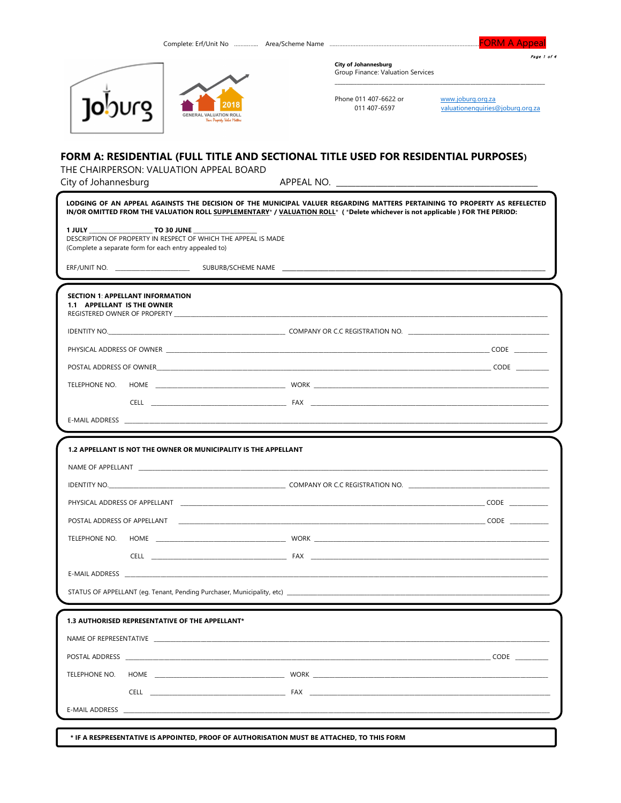



Page 1 of 4



**City of Johannesburg** Group Finance: Valuation Services

Phone 011 407-6622 or 011 407-6597

www.joburg.org.za valuationenquiries@joburg.org.za

## FORM A: RESIDENTIAL (FULL TITLE AND SECTIONAL TITLE USED FOR RESIDENTIAL PURPOSES)

THE CHAIRPERSON: VALUATION APPEAL BOARD

City of Johannesburg

|                                                                                                                                                                                         | LODGING OF AN APPEAL AGAINSTS THE DECISION OF THE MUNICIPAL VALUER REGARDING MATTERS PERTAINING TO PROPERTY AS REFELECTED<br>IN/OR OMITTED FROM THE VALUATION ROLL SUPPLEMENTARY*/VALUATION ROLL* (*Delete whichever is not applicable) FOR THE PERIOD: |
|-----------------------------------------------------------------------------------------------------------------------------------------------------------------------------------------|---------------------------------------------------------------------------------------------------------------------------------------------------------------------------------------------------------------------------------------------------------|
| 1 JULY TO 30 JUNE<br>DESCRIPTION OF PROPERTY IN RESPECT OF WHICH THE APPEAL IS MADE<br>(Complete a separate form for each entry appealed to)                                            |                                                                                                                                                                                                                                                         |
|                                                                                                                                                                                         |                                                                                                                                                                                                                                                         |
| <b>SECTION 1: APPELLANT INFORMATION</b><br>1.1 APPELLANT IS THE OWNER<br>REGISTERED OWNER OF PROPERTY AND THE SERVICE OF THE SERVICE OF THE SERVICE OF THE SERVICE OF THE SERVICE OF TH |                                                                                                                                                                                                                                                         |
|                                                                                                                                                                                         | IDENTITY NO. NORTH AND THE RESERVED OF COMPANY OR C.C REGISTRATION NO.                                                                                                                                                                                  |
|                                                                                                                                                                                         |                                                                                                                                                                                                                                                         |
|                                                                                                                                                                                         |                                                                                                                                                                                                                                                         |
|                                                                                                                                                                                         |                                                                                                                                                                                                                                                         |
|                                                                                                                                                                                         |                                                                                                                                                                                                                                                         |
|                                                                                                                                                                                         |                                                                                                                                                                                                                                                         |
|                                                                                                                                                                                         |                                                                                                                                                                                                                                                         |
| 1.2 APPELLANT IS NOT THE OWNER OR MUNICIPALITY IS THE APPELLANT                                                                                                                         |                                                                                                                                                                                                                                                         |
|                                                                                                                                                                                         |                                                                                                                                                                                                                                                         |
|                                                                                                                                                                                         |                                                                                                                                                                                                                                                         |
|                                                                                                                                                                                         |                                                                                                                                                                                                                                                         |
|                                                                                                                                                                                         | POSTAL ADDRESS OF APPELLANT <b>And A Service CODE</b> CODE <b>CODE</b>                                                                                                                                                                                  |
| TELEPHONE NO.                                                                                                                                                                           |                                                                                                                                                                                                                                                         |
|                                                                                                                                                                                         |                                                                                                                                                                                                                                                         |
|                                                                                                                                                                                         |                                                                                                                                                                                                                                                         |
|                                                                                                                                                                                         |                                                                                                                                                                                                                                                         |
| 1.3 AUTHORISED REPRESENTATIVE OF THE APPELLANT*                                                                                                                                         |                                                                                                                                                                                                                                                         |
| NAME OF REPRESENTATIVE ___________                                                                                                                                                      |                                                                                                                                                                                                                                                         |
|                                                                                                                                                                                         |                                                                                                                                                                                                                                                         |
| TELEPHONE NO.                                                                                                                                                                           |                                                                                                                                                                                                                                                         |
|                                                                                                                                                                                         | CELL <b>EXAMPLE 2008 THE EXAMPLE 2009 THE EXAMPLE 2009 THE EXAMPLE 2009 THE EXAMPLE 2009 THE EXAMPLE 2009 THE EXAMPLE 2009 THE EXAMPLE 2009 THE EXAMPLE 2009 THE EXAMPLE 2009 THE EXAMPLE 2009 THE EXAMPLE 2009 THE EXAMPLE 2009</b>                    |
| <b>E-MAIL ADDRESS</b>                                                                                                                                                                   |                                                                                                                                                                                                                                                         |
|                                                                                                                                                                                         |                                                                                                                                                                                                                                                         |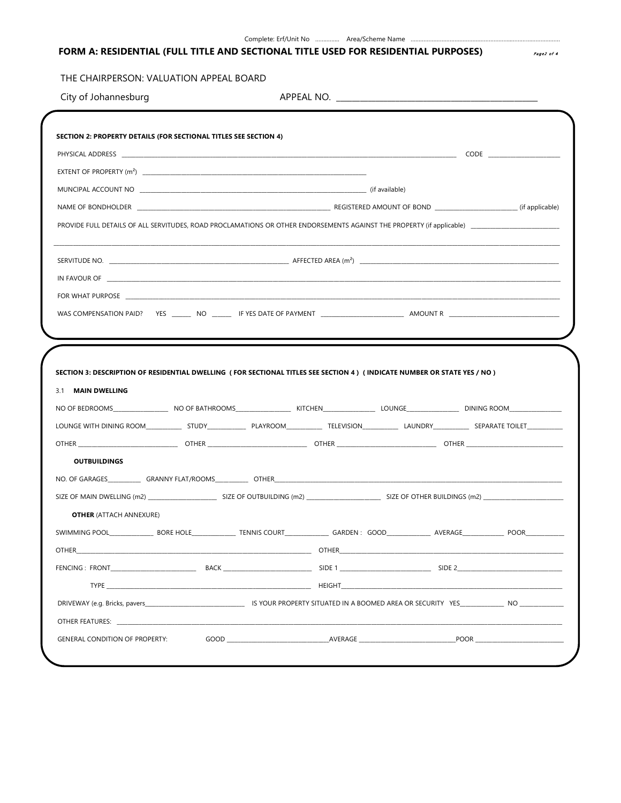| Complete: Erf/Unit No | . | Area/Scheme Name | . |
|-----------------------|---|------------------|---|
|                       |   |                  |   |

# FORM A: RESIDENTIAL (FULL TITLE AND SECTIONAL TITLE USED FOR RESIDENTIAL PURPOSES)

## THE CHAIRPERSON: VALUATION APPEAL BOARD

City of Johannesburg

| $ext{ENT OF PROPERTIES (m2)}$                                                                                                                                                                                                  |        |                   |  |
|--------------------------------------------------------------------------------------------------------------------------------------------------------------------------------------------------------------------------------|--------|-------------------|--|
| MUNCIPAL ACCOUNT NO COMPUTER CONTROL CONTROL CONTROL CONTROL CONTROL CONTROL CONTROL CONTROL CONTROL CONTROL CO                                                                                                                |        |                   |  |
|                                                                                                                                                                                                                                |        |                   |  |
|                                                                                                                                                                                                                                |        |                   |  |
|                                                                                                                                                                                                                                |        |                   |  |
|                                                                                                                                                                                                                                |        |                   |  |
| FOR WHAT PURPOSE THE RESIDENCE OF THE RESIDENCE OF THE RESIDENCE OF THE RESIDENCE OF THE RESIDENCE OF THE RESIDENCE OF THE RESIDENCE OF THE RESIDENCE OF THE RESIDENCE OF THE RESIDENCE OF THE RESIDENCE OF THE RESIDENCE OF T |        |                   |  |
|                                                                                                                                                                                                                                |        |                   |  |
|                                                                                                                                                                                                                                |        |                   |  |
|                                                                                                                                                                                                                                |        |                   |  |
|                                                                                                                                                                                                                                |        |                   |  |
| SECTION 3: DESCRIPTION OF RESIDENTIAL DWELLING (FOR SECTIONAL TITLES SEE SECTION 4) (INDICATE NUMBER OR STATE YES / NO)                                                                                                        |        |                   |  |
|                                                                                                                                                                                                                                |        |                   |  |
| 3.1 MAIN DWELLING                                                                                                                                                                                                              |        |                   |  |
|                                                                                                                                                                                                                                |        |                   |  |
| <b>OUTBUILDINGS</b>                                                                                                                                                                                                            |        |                   |  |
| OTHER ______________________________OTHER ___________________________OTHER ___________________________________                                                                                                                 |        |                   |  |
|                                                                                                                                                                                                                                |        |                   |  |
| <b>OTHER (ATTACH ANNEXURE)</b>                                                                                                                                                                                                 |        |                   |  |
|                                                                                                                                                                                                                                |        |                   |  |
|                                                                                                                                                                                                                                |        |                   |  |
| OTHER<br>BACK<br>FENCING : FRONT                                                                                                                                                                                               | SIDE 1 | SIDE <sub>2</sub> |  |
|                                                                                                                                                                                                                                |        |                   |  |
|                                                                                                                                                                                                                                |        |                   |  |
|                                                                                                                                                                                                                                |        |                   |  |

Page2 of 4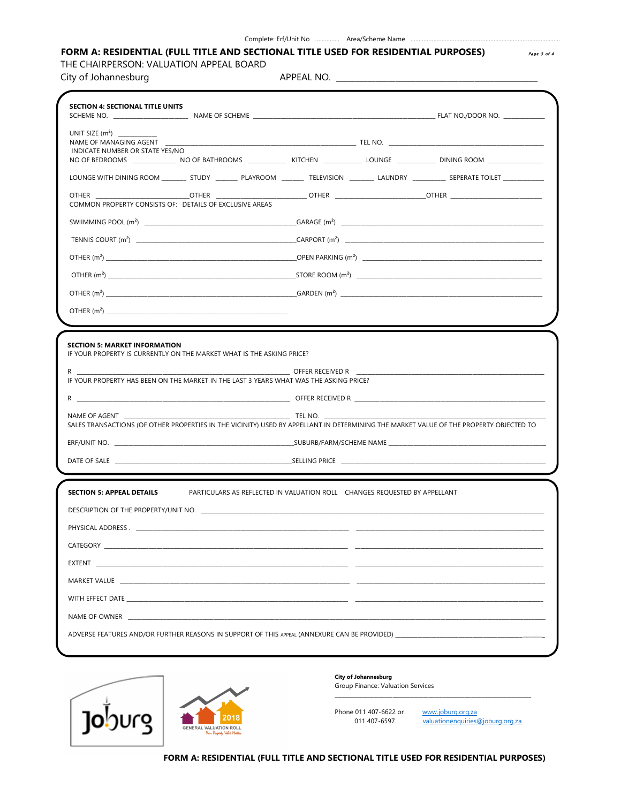#### Complete: Erf/Unit No ................ Area/Scheme Name .....

### FORM A: RESIDENTIAL (FULL TITLE AND SECTIONAL TITLE USED FOR RESIDENTIAL PURPOSES)

THE CHAIRPERSON: VALUATION APPEAL BOARD

City of Johannesburg

APPEAL NO. \_\_\_\_\_\_\_\_\_\_

|                                                                                                                                                                                                                                                                                                                                                            | <b>SECTION 4: SECTIONAL TITLE UNITS</b>                                   |                                             |                                                                                                                                                                                                                           |
|------------------------------------------------------------------------------------------------------------------------------------------------------------------------------------------------------------------------------------------------------------------------------------------------------------------------------------------------------------|---------------------------------------------------------------------------|---------------------------------------------|---------------------------------------------------------------------------------------------------------------------------------------------------------------------------------------------------------------------------|
| INDICATE NUMBER OR STATE YES/NO                                                                                                                                                                                                                                                                                                                            |                                                                           |                                             | NAME OF MANAGING AGENT <b>A CONSERVERT CONSERVERT CONSERVERT CONSERVERT</b> TEL NO.<br>NO OF BEDROOMS _______________ NO OF BATHROOMS _____________ KITCHEN ____________ LOUNGE ____________ DINING ROOM ________________ |
|                                                                                                                                                                                                                                                                                                                                                            |                                                                           |                                             | LOUNGE WITH DINING ROOM _________ STUDY _________ PLAYROOM _________ TELEVISION ___________ LAUNDRY __________ SEPERATE TOILET ___________                                                                                |
| <b>OTHER</b><br>COMMON PROPERTY CONSISTS OF: DETAILS OF EXCLUSIVE AREAS                                                                                                                                                                                                                                                                                    |                                                                           |                                             | ______________OTHER ___________________________OTHER _________________________OTHER _____________________                                                                                                                 |
|                                                                                                                                                                                                                                                                                                                                                            |                                                                           |                                             | $SWIIMMING POOL (m2)$ GARAGE $(m2)$                                                                                                                                                                                       |
|                                                                                                                                                                                                                                                                                                                                                            |                                                                           |                                             |                                                                                                                                                                                                                           |
|                                                                                                                                                                                                                                                                                                                                                            |                                                                           |                                             |                                                                                                                                                                                                                           |
|                                                                                                                                                                                                                                                                                                                                                            |                                                                           |                                             |                                                                                                                                                                                                                           |
|                                                                                                                                                                                                                                                                                                                                                            |                                                                           |                                             |                                                                                                                                                                                                                           |
|                                                                                                                                                                                                                                                                                                                                                            |                                                                           |                                             |                                                                                                                                                                                                                           |
| $R \sim 1$<br>IF YOUR PROPERTY HAS BEEN ON THE MARKET IN THE LAST 3 YEARS WHAT WAS THE ASKING PRICE?                                                                                                                                                                                                                                                       |                                                                           | OFFER RECEIVED R <b>Andrew CONSTRUCTION</b> |                                                                                                                                                                                                                           |
|                                                                                                                                                                                                                                                                                                                                                            |                                                                           |                                             |                                                                                                                                                                                                                           |
| NAME OF AGENT                                                                                                                                                                                                                                                                                                                                              | <b>EXAMPLE IN TEL NO.</b>                                                 |                                             | SALES TRANSACTIONS (OF OTHER PROPERTIES IN THE VICINITY) USED BY APPELLANT IN DETERMINING THE MARKET VALUE OF THE PROPERTY OBJECTED TO                                                                                    |
|                                                                                                                                                                                                                                                                                                                                                            |                                                                           |                                             |                                                                                                                                                                                                                           |
|                                                                                                                                                                                                                                                                                                                                                            |                                                                           |                                             |                                                                                                                                                                                                                           |
|                                                                                                                                                                                                                                                                                                                                                            |                                                                           |                                             |                                                                                                                                                                                                                           |
| <b>SECTION 5: APPEAL DETAILS</b>                                                                                                                                                                                                                                                                                                                           | PARTICULARS AS REFLECTED IN VALUATION ROLL CHANGES REQUESTED BY APPELLANT |                                             |                                                                                                                                                                                                                           |
|                                                                                                                                                                                                                                                                                                                                                            |                                                                           |                                             |                                                                                                                                                                                                                           |
|                                                                                                                                                                                                                                                                                                                                                            |                                                                           |                                             |                                                                                                                                                                                                                           |
| CATEGORY                                                                                                                                                                                                                                                                                                                                                   |                                                                           |                                             |                                                                                                                                                                                                                           |
|                                                                                                                                                                                                                                                                                                                                                            |                                                                           |                                             |                                                                                                                                                                                                                           |
|                                                                                                                                                                                                                                                                                                                                                            |                                                                           |                                             |                                                                                                                                                                                                                           |
|                                                                                                                                                                                                                                                                                                                                                            |                                                                           |                                             |                                                                                                                                                                                                                           |
| MARKET VALUE <b>AND A SERVE AND A SERVE AND A SERVE AND A</b><br>WITH EFFECT DATE THE STATE OF THE STATE OF THE STATE OF THE STATE OF THE STATE OF THE STATE OF THE STATE OF THE STATE OF THE STATE OF THE STATE OF THE STATE OF THE STATE OF THE STATE OF THE STATE OF THE STATE OF THE STATE<br>NAME OF OWNER THE STATE OF STATE AND THE STATE OF OWNER. |                                                                           |                                             |                                                                                                                                                                                                                           |



#### **City of Johannesburg** Group Finance: Valuation Services

Phone 011 407-6622 or 011 407-6597

www.joburg.org.za valuationenquiries@joburg.org.za

Page 3 of 4

FORM A: RESIDENTIAL (FULL TITLE AND SECTIONAL TITLE USED FOR RESIDENTIAL PURPOSES)